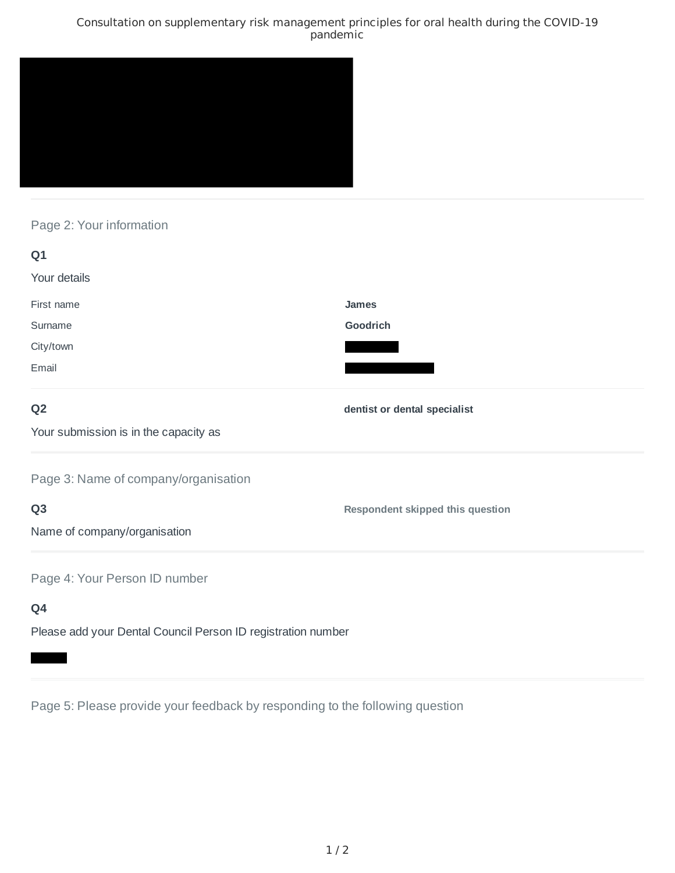### Consultation on supplementary risk management principles for oral health during the COVID-19 pandemic



# Page 2: Your information

| Q1                                                           |                                         |
|--------------------------------------------------------------|-----------------------------------------|
| Your details                                                 |                                         |
| First name                                                   | <b>James</b>                            |
| Surname                                                      | Goodrich                                |
| City/town                                                    |                                         |
| Email                                                        |                                         |
| Q <sub>2</sub>                                               | dentist or dental specialist            |
| Your submission is in the capacity as                        |                                         |
| Page 3: Name of company/organisation                         |                                         |
| Q <sub>3</sub>                                               | <b>Respondent skipped this question</b> |
| Name of company/organisation                                 |                                         |
| Page 4: Your Person ID number                                |                                         |
| Q4                                                           |                                         |
| Please add your Dental Council Person ID registration number |                                         |

Page 5: Please provide your feedback by responding to the following question